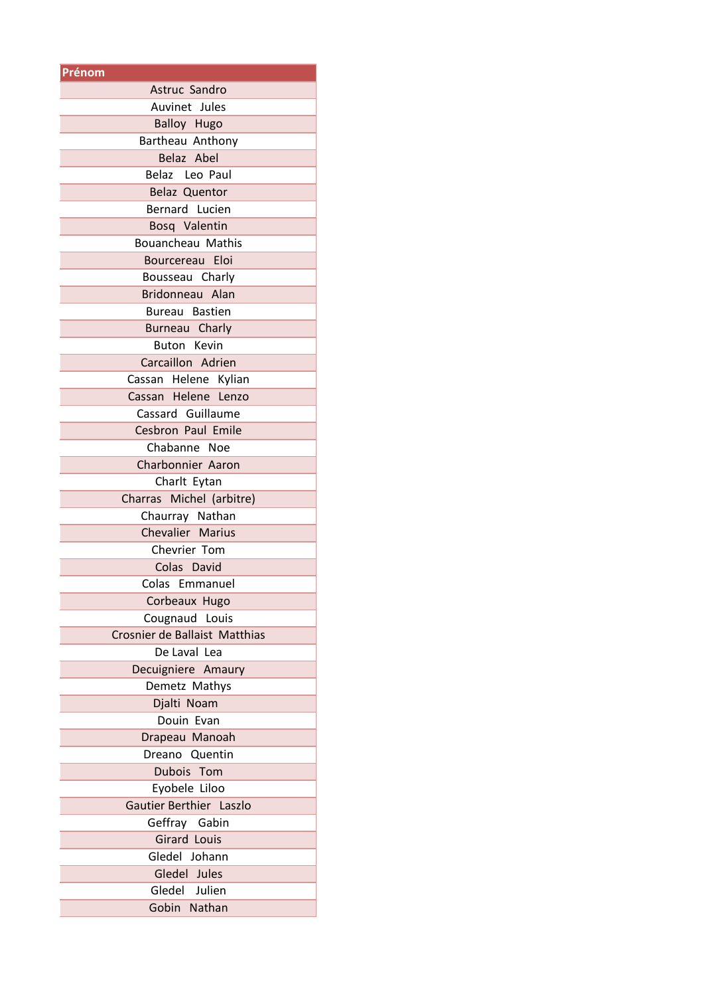| Prénom                        |
|-------------------------------|
| Astruc Sandro                 |
| Auvinet Jules                 |
| <b>Balloy Hugo</b>            |
| Bartheau Anthony              |
| Belaz Abel                    |
| Belaz Leo Paul                |
| <b>Belaz Quentor</b>          |
| Bernard Lucien                |
| Bosq Valentin                 |
| Bouancheau Mathis             |
| Bourcereau Eloi               |
| Bousseau Charly               |
| Bridonneau Alan               |
| Bureau Bastien                |
|                               |
| Burneau Charly<br>Buton Kevin |
|                               |
| Carcaillon Adrien             |
| Cassan Helene Kylian          |
| Cassan Helene Lenzo           |
| Cassard Guillaume             |
| Cesbron Paul Emile            |
| Chabanne Noe                  |
| <b>Charbonnier Aaron</b>      |
| Charlt Eytan                  |
| Charras Michel (arbitre)      |
| Chaurray Nathan               |
| Chevalier Marius              |
| Chevrier Tom                  |
| Colas David                   |
| Colas Emmanuel                |
| Corbeaux Hugo                 |
| Cougnaud Louis                |
| Crosnier de Ballaist Matthias |
| De Laval Lea                  |
| Decuigniere Amaury            |
| Demetz Mathys                 |
| Djalti Noam                   |
| Douin Evan                    |
| Drapeau Manoah                |
| Dreano<br>Quentin             |
| Dubois Tom                    |
|                               |
| Eyobele Liloo                 |
| Gautier Berthier Laszlo       |
| Geffray Gabin                 |
| <b>Girard Louis</b>           |
| Gledel Johann                 |
| Gledel Jules                  |
| Gledel Julien                 |
| Gobin Nathan                  |